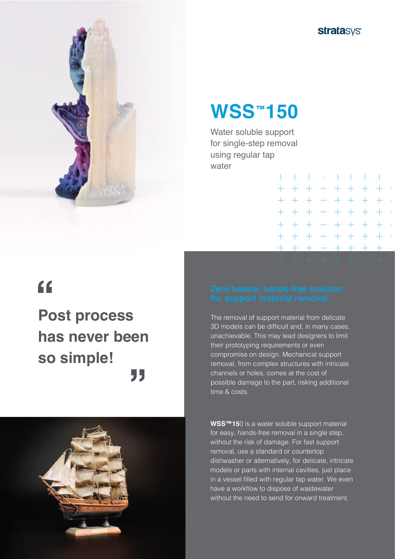



## **WSS<sup>™</sup>150**

Water soluble support for single-step removal using regular tap water

| + + + + + + + + -     |  |  |  |  |
|-----------------------|--|--|--|--|
| + + + + + + + +       |  |  |  |  |
| + + + + + + + +       |  |  |  |  |
| + + + + + + + + -     |  |  |  |  |
| + + + + + + + + -     |  |  |  |  |
| + + + + + + + + -     |  |  |  |  |
| + + + + + + + + -     |  |  |  |  |
| . + + + + + + + + + + |  |  |  |  |

# $\epsilon$

## **Post process has never been so simple!** 77



The removal of support material from delicate 3D models can be difficult and, in many cases, unachievable. This may lead designers to limit their prototyping requirements or even compromise on design. Mechanical support removal, from complex structures with intricate channels or holes, comes at the cost of possible damage to the part, risking additional time & costs.

**WSS™15**0 is a water soluble support material for easy, hands-free removal in a single step, without the risk of damage. For fast support removal, use a standard or countertop dishwasher or alternatively, for delicate, intricate models or parts with internal cavities, just place in a vessel filled with regular tap water. We even have a workflow to dispose of wastewater without the need to send for onward treatment.